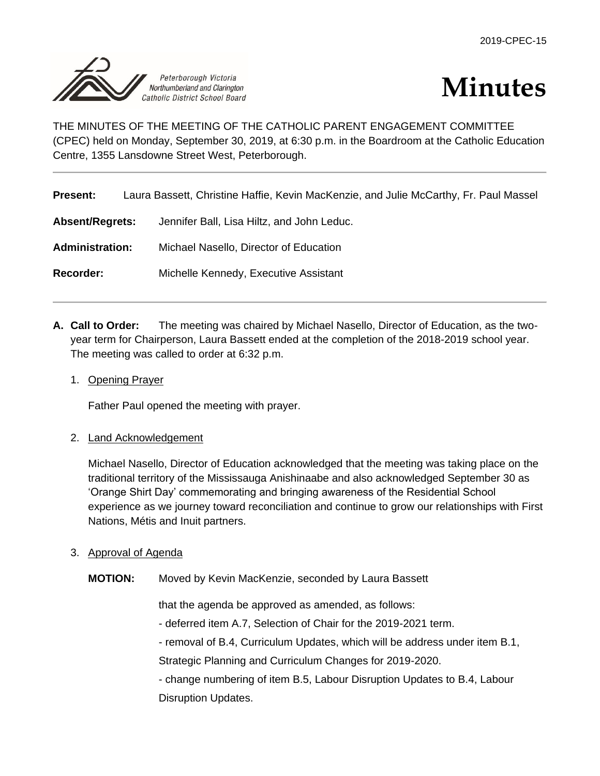



THE MINUTES OF THE MEETING OF THE CATHOLIC PARENT ENGAGEMENT COMMITTEE (CPEC) held on Monday, September 30, 2019, at 6:30 p.m. in the Boardroom at the Catholic Education Centre, 1355 Lansdowne Street West, Peterborough.

| <b>Present:</b>        | Laura Bassett, Christine Haffie, Kevin MacKenzie, and Julie McCarthy, Fr. Paul Massel |
|------------------------|---------------------------------------------------------------------------------------|
| <b>Absent/Regrets:</b> | Jennifer Ball, Lisa Hiltz, and John Leduc.                                            |
| <b>Administration:</b> | Michael Nasello, Director of Education                                                |
| Recorder:              | Michelle Kennedy, Executive Assistant                                                 |

- **A. Call to Order:** The meeting was chaired by Michael Nasello, Director of Education, as the twoyear term for Chairperson, Laura Bassett ended at the completion of the 2018-2019 school year. The meeting was called to order at 6:32 p.m.
	- 1. Opening Prayer

Father Paul opened the meeting with prayer.

# 2. Land Acknowledgement

Michael Nasello, Director of Education acknowledged that the meeting was taking place on the traditional territory of the Mississauga Anishinaabe and also acknowledged September 30 as 'Orange Shirt Day' commemorating and bringing awareness of the Residential School experience as we journey toward reconciliation and continue to grow our relationships with First Nations, Métis and Inuit partners.

- 3. Approval of Agenda
	- **MOTION:** Moved by Kevin MacKenzie, seconded by Laura Bassett

that the agenda be approved as amended, as follows:

- deferred item A.7, Selection of Chair for the 2019-2021 term.
- removal of B.4, Curriculum Updates, which will be address under item B.1,

Strategic Planning and Curriculum Changes for 2019-2020.

- change numbering of item B.5, Labour Disruption Updates to B.4, Labour Disruption Updates.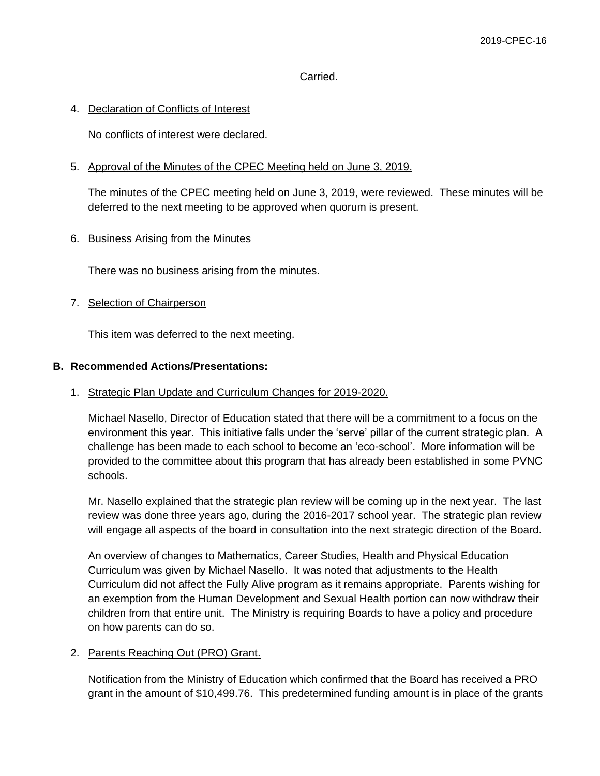### Carried.

### 4. Declaration of Conflicts of Interest

No conflicts of interest were declared.

### 5. Approval of the Minutes of the CPEC Meeting held on June 3, 2019.

The minutes of the CPEC meeting held on June 3, 2019, were reviewed. These minutes will be deferred to the next meeting to be approved when quorum is present.

### 6. Business Arising from the Minutes

There was no business arising from the minutes.

### 7. Selection of Chairperson

This item was deferred to the next meeting.

# **B. Recommended Actions/Presentations:**

#### 1. Strategic Plan Update and Curriculum Changes for 2019-2020.

Michael Nasello, Director of Education stated that there will be a commitment to a focus on the environment this year. This initiative falls under the 'serve' pillar of the current strategic plan. A challenge has been made to each school to become an 'eco-school'. More information will be provided to the committee about this program that has already been established in some PVNC schools.

Mr. Nasello explained that the strategic plan review will be coming up in the next year. The last review was done three years ago, during the 2016-2017 school year. The strategic plan review will engage all aspects of the board in consultation into the next strategic direction of the Board.

An overview of changes to Mathematics, Career Studies, Health and Physical Education Curriculum was given by Michael Nasello. It was noted that adjustments to the Health Curriculum did not affect the Fully Alive program as it remains appropriate. Parents wishing for an exemption from the Human Development and Sexual Health portion can now withdraw their children from that entire unit. The Ministry is requiring Boards to have a policy and procedure on how parents can do so.

#### 2. Parents Reaching Out (PRO) Grant.

Notification from the Ministry of Education which confirmed that the Board has received a PRO grant in the amount of \$10,499.76. This predetermined funding amount is in place of the grants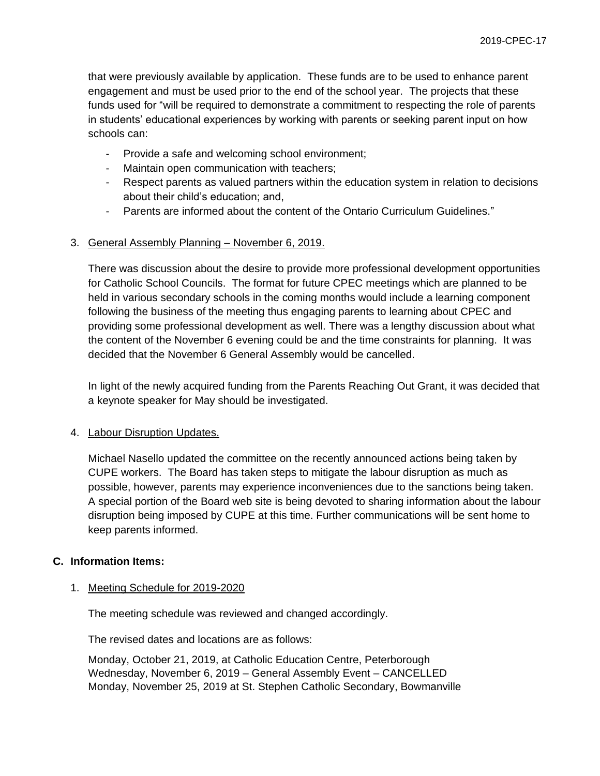that were previously available by application. These funds are to be used to enhance parent engagement and must be used prior to the end of the school year. The projects that these funds used for "will be required to demonstrate a commitment to respecting the role of parents in students' educational experiences by working with parents or seeking parent input on how schools can:

- Provide a safe and welcoming school environment;
- Maintain open communication with teachers;
- Respect parents as valued partners within the education system in relation to decisions about their child's education; and,
- Parents are informed about the content of the Ontario Curriculum Guidelines."

#### 3. General Assembly Planning – November 6, 2019.

There was discussion about the desire to provide more professional development opportunities for Catholic School Councils. The format for future CPEC meetings which are planned to be held in various secondary schools in the coming months would include a learning component following the business of the meeting thus engaging parents to learning about CPEC and providing some professional development as well. There was a lengthy discussion about what the content of the November 6 evening could be and the time constraints for planning. It was decided that the November 6 General Assembly would be cancelled.

In light of the newly acquired funding from the Parents Reaching Out Grant, it was decided that a keynote speaker for May should be investigated.

#### 4. Labour Disruption Updates.

Michael Nasello updated the committee on the recently announced actions being taken by CUPE workers. The Board has taken steps to mitigate the labour disruption as much as possible, however, parents may experience inconveniences due to the sanctions being taken. A special portion of the Board web site is being devoted to sharing information about the labour disruption being imposed by CUPE at this time. Further communications will be sent home to keep parents informed.

### **C. Information Items:**

#### 1. Meeting Schedule for 2019-2020

The meeting schedule was reviewed and changed accordingly.

The revised dates and locations are as follows:

Monday, October 21, 2019, at Catholic Education Centre, Peterborough Wednesday, November 6, 2019 – General Assembly Event – CANCELLED Monday, November 25, 2019 at St. Stephen Catholic Secondary, Bowmanville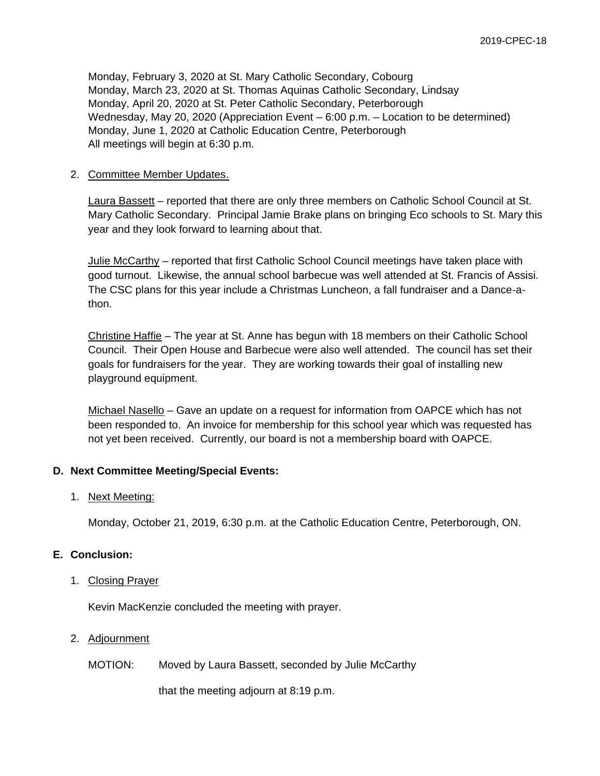Monday, February 3, 2020 at St. Mary Catholic Secondary, Cobourg Monday, March 23, 2020 at St. Thomas Aquinas Catholic Secondary, Lindsay Monday, April 20, 2020 at St. Peter Catholic Secondary, Peterborough Wednesday, May 20, 2020 (Appreciation Event – 6:00 p.m. – Location to be determined) Monday, June 1, 2020 at Catholic Education Centre, Peterborough All meetings will begin at 6:30 p.m.

### 2. Committee Member Updates.

Laura Bassett – reported that there are only three members on Catholic School Council at St. Mary Catholic Secondary. Principal Jamie Brake plans on bringing Eco schools to St. Mary this year and they look forward to learning about that.

Julie McCarthy – reported that first Catholic School Council meetings have taken place with good turnout. Likewise, the annual school barbecue was well attended at St. Francis of Assisi. The CSC plans for this year include a Christmas Luncheon, a fall fundraiser and a Dance-athon.

Christine Haffie – The year at St. Anne has begun with 18 members on their Catholic School Council. Their Open House and Barbecue were also well attended. The council has set their goals for fundraisers for the year. They are working towards their goal of installing new playground equipment.

Michael Nasello – Gave an update on a request for information from OAPCE which has not been responded to. An invoice for membership for this school year which was requested has not yet been received. Currently, our board is not a membership board with OAPCE.

# **D. Next Committee Meeting/Special Events:**

# 1. Next Meeting:

Monday, October 21, 2019, 6:30 p.m. at the Catholic Education Centre, Peterborough, ON.

# **E. Conclusion:**

#### 1. Closing Prayer

Kevin MacKenzie concluded the meeting with prayer.

# 2. Adjournment

MOTION: Moved by Laura Bassett, seconded by Julie McCarthy

that the meeting adjourn at 8:19 p.m.